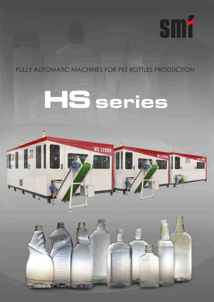## FULLY AUTOMATIC MACHINES FOR PET BOTTLES PRODUCTION

**SM1** 

## HS series



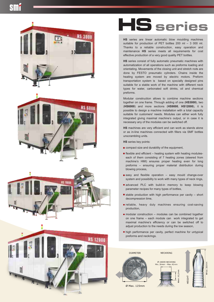









**HS** series are linear automatic blow moulding machines suitable for production of PET bottles 200 ml – 3 000 ml. Thanks to a reliable construction, easy operation and maintenance **HS** series meets all requirements for cost effective production of a very good quality PET bottles.

**HS** series consist of fully automatic pneumatic machines with automatization of all operations such as preforms loading and orientating. Movements of the closing unit and stretch rods are done by FESTO pneumatic cylinders. Chains inside the heating system are moved by electric motors. Preform transportation system is based on specially designed pins suitable for a stable work of the machine with different neck types for water, carbonated soft drinks, oil and chemical preforms.

Modular construction allows to combine machine sections together on one frame. Through adding of one (**HS3000**), two (**HS6000**) and more sections (**HS9000**, **HS12000**), it is possible to design a machine installation with a total capacity suitable for customers' needs. Modules can either work fully integrated giving maximal machine's output, or in case it is necessary any of the modules can be switched off.

**HS** machines are very efficient and can work as stands alone or as in-line machines connected with fillers via SMF bottles unscrambling units.

**HS** series key points:

- compact size and durability of the equipment,
- $\blacksquare$  flexible and efficient heating system with heating moduleseach of them consisting of 7 heating zones (steered from machine's HMI) ensures proper heating even for long preforms – ensuring proper material distribution during blowing process,
- easy and flexible operation easy mould change-over system and possibility to work with many types of neck rings,
- advanced PLC with build-in memory to keep blowing parameter recipes for many types of bottles,
- $\blacksquare$  stable production with high performance per cavity short decompression time,
- reliable, heavy duty machines ensuring cost-saving production,
- $\blacksquare$  modular construction modules can be combined together on one frame – each module can work integrated to get maximal machine's efficiency or can be switched off to adjust production to the needs during the low season,
- high performance per cavity, perfect machine for untypical preforms and neckrings.

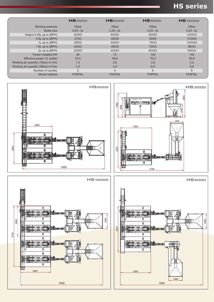## **HS series**

|                                                  | <b>HS3000</b> | <b>HS6000</b>  | <b>HS</b> 9000 | <b>HS</b> 12000 |
|--------------------------------------------------|---------------|----------------|----------------|-----------------|
| <b>Blowing pressure</b>                          | 25bar         | 25bar          | 25bar          | 25bar           |
| Bottle size                                      | $0,25 - 3L$   | $0,25 - 3L$    | $0,25 - 3L$    | $0,25 - 3L$     |
| Output 0,25L up to (BPH)                         | 3000          | 6000           | 9000           | 12000           |
| $0,5L$ up to (BPH)                               | 2750          | 5500           | 8250           | 11000           |
| 1L up to (BPH)                                   | 2500          | 5000           | 7500           | 10000           |
| 1,5L up to (BPH)                                 | 2400          | 4800           | 7200           | 9600            |
| 2L up to (BPH)                                   | 2000          | 4000           | 6000           | 8000            |
| Power installed kW                               | 36            | 72             | 108            | 144             |
| Effective power (1L bottle)                      | 23,4          | 46,8           | 70,2           | 93,6            |
| Working air quantity (10bar) m <sup>3</sup> /min | 1,3           | 2,6            | 3,9            | 5,2             |
| Working air quantity (25bar) m <sup>3</sup> /min | 2,2           | 4,4            | 6,6            | 8,8             |
| Number of cavities                               | 2             | $\overline{4}$ | 6              | 8               |
| Mould material                                   | <b>FORTAL</b> | <b>FORTAL</b>  | <b>FORTAL</b>  | <b>FORTAL</b>   |